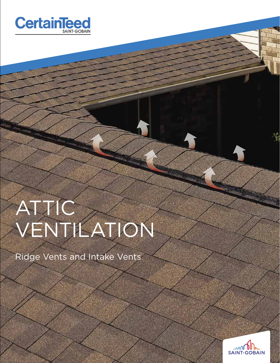

# ATTIC VENTILATION

Ridge Vents and Intake Vents



**READ MANAGER**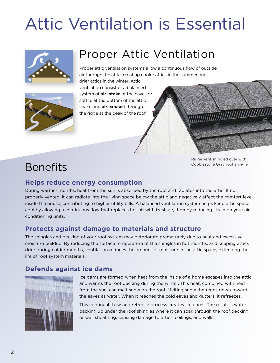## Attic Ventilation is Essential



### Proper Attic Ventilation

Proper attic ventilation systems allow a continuous flow of outside air through the attic, creating cooler attics in the summer and



drier attics in the winter. Attic ventilation consist of a balanced system of **air intake** at the eaves or soffits at the bottom of the attic space and **air exhaust** through the ridge at the peak of the roof.



### **Benefits**

Ridge vent shingled over with Cobblestone Gray roof shingle.

### **Helps reduce energy consumption**

During warmer months, heat from the sun is absorbed by the roof and radiates into the attic. If not properly vented, it can radiate into the living space below the attic and negatively affect the comfort level inside the house, contributing to higher utility bills. A balanced ventilation system helps keep attic space cool by allowing a continuous flow that replaces hot air with fresh air, thereby reducing strain on your air conditioning units.

### **Protects against damage to materials and structure**

The shingles and decking of your roof system may deteriorate prematurely due to heat and excessive moisture buildup. By reducing the surface temperature of the shingles in hot months, and keeping attics drier during colder months, ventilation reduces the amount of moisture in the attic space, extending the life of roof system materials.

#### **Defends against ice dams**



Ice dams are formed when heat from the inside of a home escapes into the attic and warms the roof decking during the winter. This heat, combined with heat from the sun, can melt snow on the roof. Melting snow then runs down toward the eaves as water. When it reaches the cold eaves and gutters, it refreezes.

This continual thaw and refreeze process creates ice dams. The result is water backing up under the roof shingles where it can soak through the roof decking or wall sheathing, causing damage to attics, ceilings, and walls.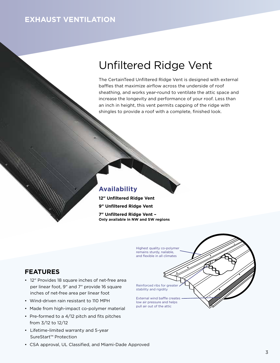### **EXHAUST VENTILATION**

### Unfiltered Ridge Vent

The CertainTeed Unfiltered Ridge Vent is designed with external baffles that maximize airflow across the underside of roof sheathing, and works year-round to ventilate the attic space and increase the longevity and performance of your roof. Less than an inch in height, this vent permits capping of the ridge with shingles to provide a roof with a complete, finished look.

#### **Availability**

**12" Unfiltered Ridge Vent**

**9" Unfiltered Ridge Vent**

**7" Unfiltered Ridge Vent – Only available in NW and SW regions**

#### Highest quality co-polymer remains sturdy, nailable, and flexible in all climates Reinforced ribs for greater stability and rigidity External wind baffle creates low air pressure and helps pull air out of the attic

- 12" Provides 18 square inches of net-free area per linear foot, 9" and 7" provide 16 square inches of net-free area per linear foot
- Wind-driven rain resistant to 110 MPH
- Made from high-impact co-polymer material
- Pre-formed to a 4/12 pitch and fits pitches from 3/12 to 12/12
- Lifetime-limited warranty and 5-year SureStart™ Protection
- CSA approval, UL Classified, and Miami-Dade Approved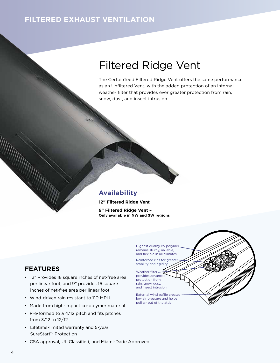### **FILTERED EXHAUST VENTILATION**

### Filtered Ridge Vent

The CertainTeed Filtered Ridge Vent offers the same performance as an Unfiltered Vent, with the added protection of an internal weather filter that provides ever greater protection from rain, snow, dust, and insect intrusion.

#### **Availability**

**12" Filtered Ridge Vent 9" Filtered Ridge Vent – Only available in NW and SW regions**

> Highest quality co-polymer remains sturdy, nailable, and flexible in all climates

Reinforced ribs for greate stability and rigidity

Weather filterprovides advanced protection from rain, snow, dust, and insect intrusion

External wind baffle creates low air pressure and helps pull air out of the attic

- 12" Provides 18 square inches of net-free area per linear foot, and 9" provides 16 square inches of net-free area per linear foot
- Wind-driven rain resistant to 110 MPH
- Made from high-impact co-polymer material
- Pre-formed to a 4/12 pitch and fits pitches from 3/12 to 12/12
- Lifetime-limited warranty and 5-year SureStart™ Protection
- CSA approval, UL Classified, and Miami-Dade Approved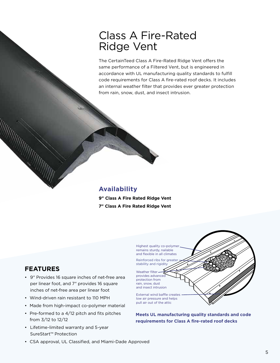### Class A Fire-Rated Ridge Vent

The CertainTeed Class A Fire-Rated Ridge Vent offers the same performance of a Filtered Vent, but is engineered in accordance with UL manufacturing quality standards to fulfill code requirements for Class A fire-rated roof decks. It includes an internal weather filter that provides ever greater protection from rain, snow, dust, and insect intrusion.

#### **Availability**

**9" Class A Fire Rated Ridge Vent 7" Class A Fire Rated Ridge Vent**

> Highest quality co-polymer remains sturdy, nailable and flexible in all climates

Reinforced ribs for greate stability and rigidity

Weather filterprovides advanced protection from rain, snow, dust and insect intrusion

External wind baffle creates low air pressure and helps pull air out of the attic

**Meets UL manufacturing quality standards and code requirements for Class A fire-rated roof decks**

- 9" Provides 16 square inches of net-free area per linear foot, and 7" provides 16 square inches of net-free area per linear foot
- Wind-driven rain resistant to 110 MPH
- Made from high-impact co-polymer material
- Pre-formed to a 4/12 pitch and fits pitches from 3/12 to 12/12
- Lifetime-limited warranty and 5-year SureStart™ Protection
- CSA approval, UL Classified, and Miami-Dade Approved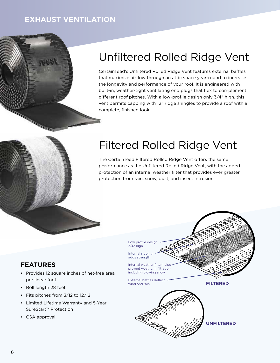### **EXHAUST VENTILATION**



### Unfiltered Rolled Ridge Vent

CertainTeed's Unfiltered Rolled Ridge Vent features external baffles that maximize airflow through an attic space year-round to increase the longevity and performance of your roof. It is engineered with built-in, weather-tight ventilating end plugs that flex to complement different roof pitches. With a low-profile design only 3/4" high, this vent permits capping with 12" ridge shingles to provide a roof with a complete, finished look.

### Filtered Rolled Ridge Vent

The CertainTeed Filtered Rolled Ridge Vent offers the same performance as the Unfiltered Rolled Ridge Vent, with the added protection of an internal weather filter that provides ever greater protection from rain, snow, dust, and insect intrusion.

- Provides 12 square inches of net-free area per linear foot
- Roll length 28 feet
- Fits pitches from 3/12 to 12/12
- Limited Lifetime Warranty and 5-Year SureStart™ Protection
- CSA approval

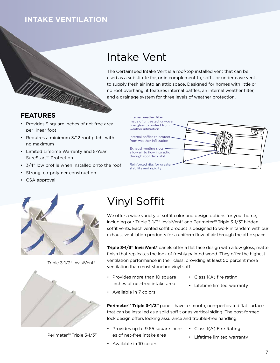### **INTAKE VENTILATION**

### Intake Vent

The CertainTeed Intake Vent is a roof-top installed vent that can be used as a substitute for, or in complement to, soffit or under eave vents to supply fresh air into an attic space. Designed for homes with little or no roof overhang, it features internal baffles, an internal weather filter, and a drainage system for three levels of weather protection.

#### **FEATURES**

- Provides 9 square inches of net-free area per linear foot
- Requires a minimum 3/12 roof pitch, with no maximum
- Limited Lifetime Warranty and 5-Year SureStart™ Protection
- 3/4" low profile when installed onto the roof
- Strong, co-polymer construction
- CSA approval

Internal weather filter made of untreated, unwoven fiberglass to protect from weather infiltration

Internal baffles to protect from weather infiltration

Exhaust venting slots allow air to flow into attic through roof deck slot

Reinforced ribs for greater stability and rigidity





Triple 3-1/3" InvisiVent®



Perimeter™ Triple 3-1/3"

## Vinyl Soffit

We offer a wide variety of soffit color and design options for your home, including our Triple 3-1/3" InvisiVent® and Perimeter™ Triple 3-1/3" hidden soffit vents. Each vented soffit product is designed to work in tandem with our exhaust ventilation products for a uniform flow of air through the attic space.

**Triple 3-1/3" InvisiVent®** panels offer a flat face design with a low gloss, matte finish that replicates the look of freshly painted wood. They offer the highest ventilation performance in their class, providing at least 50 percent more ventilation than most standard vinyl soffit.

- Provides more than 10 square inches of net-free intake area
- Class 1(A) fire rating
- Lifetime limited warranty
- Available in 7 colors

**Perimeter™ Triple 3-1/3"** panels have a smooth, non-perforated flat surface that can be installed as a solid soffit or as vertical siding. The post-formed lock design offers locking assurance and trouble-free handling.

- Provides up to 9.65 square inches of net-free intake area
- Class 1(A) Fire Rating
- Lifetime limited warranty
- Available in 10 colors